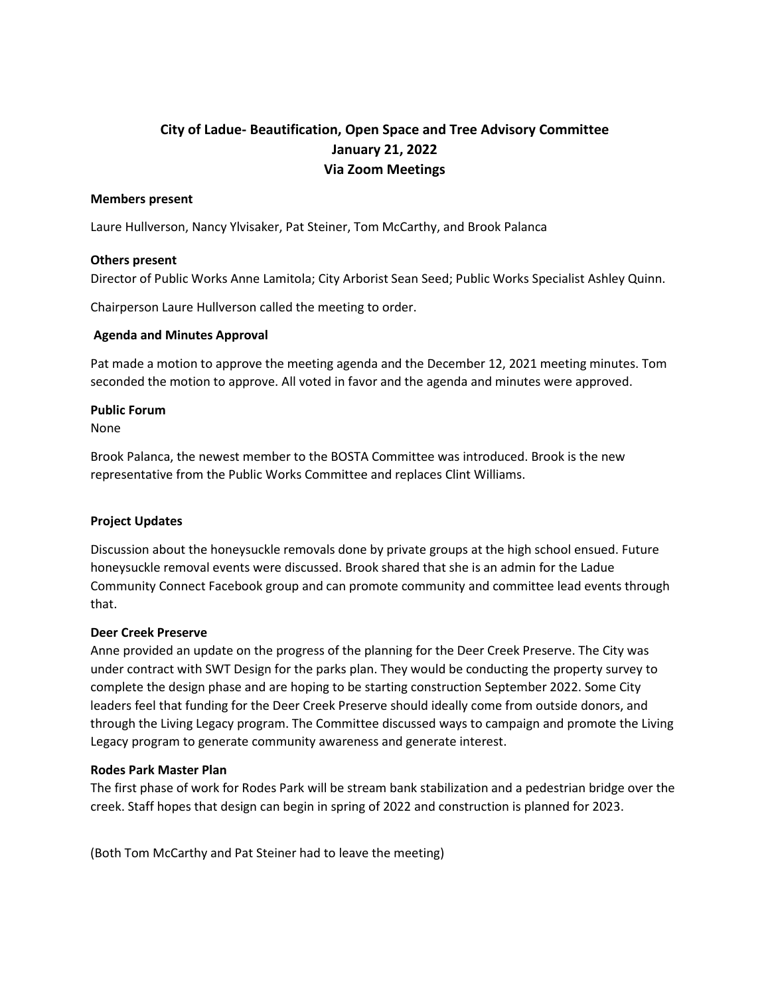# **City of Ladue- Beautification, Open Space and Tree Advisory Committee January 21, 2022 Via Zoom Meetings**

### **Members present**

Laure Hullverson, Nancy Ylvisaker, Pat Steiner, Tom McCarthy, and Brook Palanca

### **Others present**

Director of Public Works Anne Lamitola; City Arborist Sean Seed; Public Works Specialist Ashley Quinn.

Chairperson Laure Hullverson called the meeting to order.

## **Agenda and Minutes Approval**

Pat made a motion to approve the meeting agenda and the December 12, 2021 meeting minutes. Tom seconded the motion to approve. All voted in favor and the agenda and minutes were approved.

## **Public Forum**

None

Brook Palanca, the newest member to the BOSTA Committee was introduced. Brook is the new representative from the Public Works Committee and replaces Clint Williams.

## **Project Updates**

Discussion about the honeysuckle removals done by private groups at the high school ensued. Future honeysuckle removal events were discussed. Brook shared that she is an admin for the Ladue Community Connect Facebook group and can promote community and committee lead events through that.

### **Deer Creek Preserve**

Anne provided an update on the progress of the planning for the Deer Creek Preserve. The City was under contract with SWT Design for the parks plan. They would be conducting the property survey to complete the design phase and are hoping to be starting construction September 2022. Some City leaders feel that funding for the Deer Creek Preserve should ideally come from outside donors, and through the Living Legacy program. The Committee discussed ways to campaign and promote the Living Legacy program to generate community awareness and generate interest.

### **Rodes Park Master Plan**

The first phase of work for Rodes Park will be stream bank stabilization and a pedestrian bridge over the creek. Staff hopes that design can begin in spring of 2022 and construction is planned for 2023.

(Both Tom McCarthy and Pat Steiner had to leave the meeting)